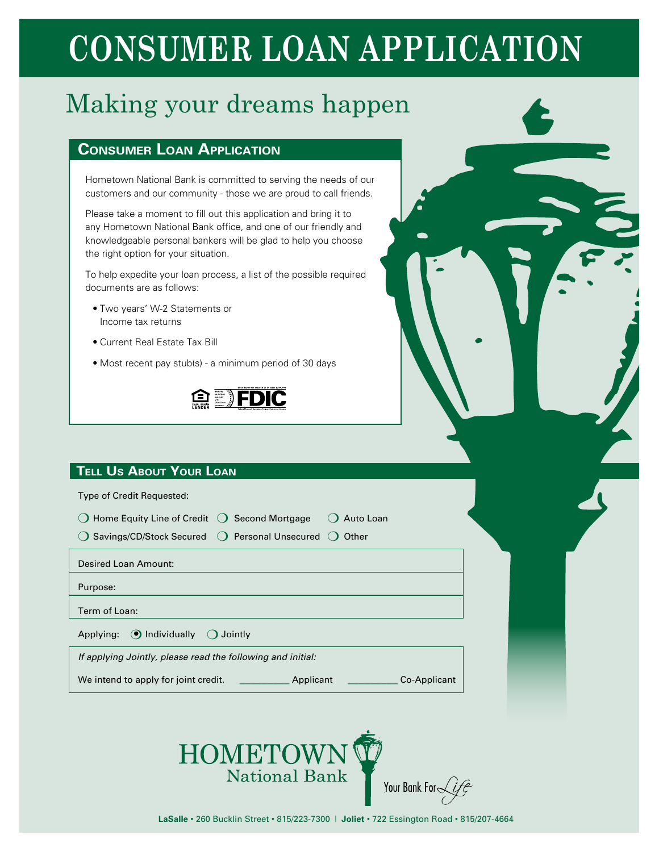# **CONSUMER LOAN APPLICATION**

## Making your dreams happen

### **Consumer Loan Application**

Hometown National Bank is committed to serving the needs of our customers and our community - those we are proud to call friends.

Please take a moment to fill out this application and bring it to any Hometown National Bank office, and one of our friendly and knowledgeable personal bankers will be glad to help you choose the right option for your situation.

To help expedite your loan process, a list of the possible required documents are as follows:

- Two years' W-2 Statements or Income tax returns
- Current Real Estate Tax Bill
- Most recent pay stub(s) a minimum period of 30 days



### **Tell Us About Your Loan**

Type of Credit Requested:

 $\bigcirc$  Home Equity Line of Credit  $\bigcirc$  Second Mortgage  $\hspace{.1cm} \bigcirc$  Auto Loan

 $\bigcirc$  Savings/CD/Stock Secured  $\bigcirc$  Personal Unsecured  $\bigcirc$  Other

Desired Loan Amount:

Purpose:

Term of Loan:

Applying:  $\bigcirc$  Individually  $\bigcirc$  Jointly

*If applying Jointly, please read the following and initial:*

We intend to apply for joint credit. \_\_\_\_\_\_\_\_\_\_\_\_\_ Applicant \_\_\_\_\_\_\_\_\_\_\_\_ Co-Applicant

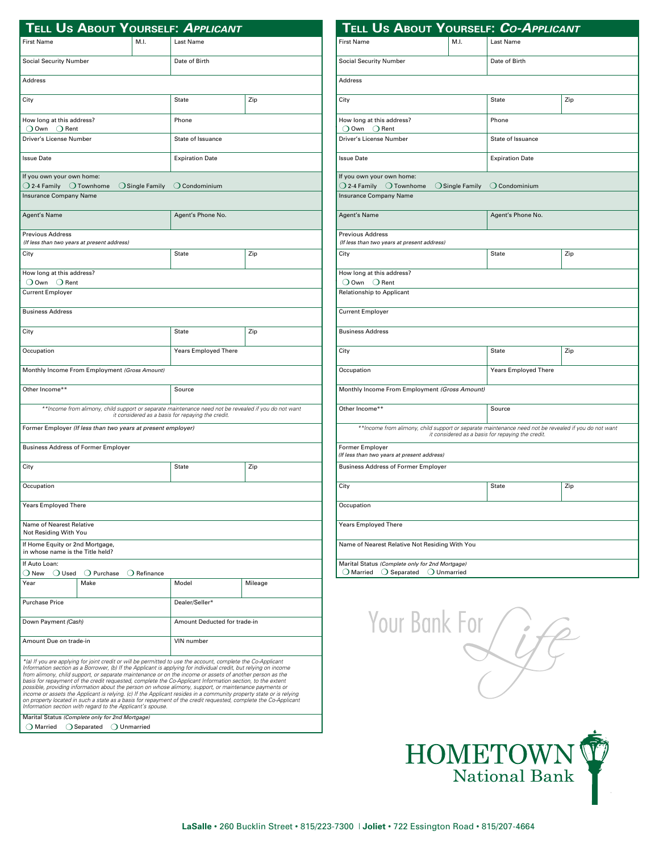|                                                                     |                                           |                              | Tell Us About Yourself: Applicant                                                                                                                                                                                                                                                                                                                                                                                                                                                                                                                                                                                                                                                                                                                                                                             |         |
|---------------------------------------------------------------------|-------------------------------------------|------------------------------|---------------------------------------------------------------------------------------------------------------------------------------------------------------------------------------------------------------------------------------------------------------------------------------------------------------------------------------------------------------------------------------------------------------------------------------------------------------------------------------------------------------------------------------------------------------------------------------------------------------------------------------------------------------------------------------------------------------------------------------------------------------------------------------------------------------|---------|
| <b>First Name</b>                                                   |                                           | M.L                          | Last Name                                                                                                                                                                                                                                                                                                                                                                                                                                                                                                                                                                                                                                                                                                                                                                                                     |         |
| <b>Social Security Number</b>                                       |                                           | Date of Birth                |                                                                                                                                                                                                                                                                                                                                                                                                                                                                                                                                                                                                                                                                                                                                                                                                               |         |
| <b>Address</b>                                                      |                                           |                              |                                                                                                                                                                                                                                                                                                                                                                                                                                                                                                                                                                                                                                                                                                                                                                                                               |         |
| City                                                                |                                           |                              | State                                                                                                                                                                                                                                                                                                                                                                                                                                                                                                                                                                                                                                                                                                                                                                                                         | Zip     |
| How long at this address?<br>○ Own ○ Rent                           |                                           |                              | Phone                                                                                                                                                                                                                                                                                                                                                                                                                                                                                                                                                                                                                                                                                                                                                                                                         |         |
| Driver's License Number                                             |                                           |                              | State of Issuance                                                                                                                                                                                                                                                                                                                                                                                                                                                                                                                                                                                                                                                                                                                                                                                             |         |
| <b>Issue Date</b>                                                   |                                           |                              | <b>Expiration Date</b>                                                                                                                                                                                                                                                                                                                                                                                                                                                                                                                                                                                                                                                                                                                                                                                        |         |
| If you own your own home:<br>○ 2-4 Family ○ Townhome                |                                           | $\bigcirc$ Single Family     |                                                                                                                                                                                                                                                                                                                                                                                                                                                                                                                                                                                                                                                                                                                                                                                                               |         |
| Insurance Company Name                                              |                                           |                              | $\bigcirc$ Condominium                                                                                                                                                                                                                                                                                                                                                                                                                                                                                                                                                                                                                                                                                                                                                                                        |         |
| Agent's Name                                                        |                                           |                              | Agent's Phone No.                                                                                                                                                                                                                                                                                                                                                                                                                                                                                                                                                                                                                                                                                                                                                                                             |         |
| <b>Previous Address</b>                                             |                                           |                              |                                                                                                                                                                                                                                                                                                                                                                                                                                                                                                                                                                                                                                                                                                                                                                                                               |         |
| (If less than two years at present address)<br>City                 |                                           |                              | <b>State</b>                                                                                                                                                                                                                                                                                                                                                                                                                                                                                                                                                                                                                                                                                                                                                                                                  | Zip     |
|                                                                     |                                           |                              |                                                                                                                                                                                                                                                                                                                                                                                                                                                                                                                                                                                                                                                                                                                                                                                                               |         |
| How long at this address?<br>$\bigcirc$ Own $\bigcirc$ Rent         |                                           |                              |                                                                                                                                                                                                                                                                                                                                                                                                                                                                                                                                                                                                                                                                                                                                                                                                               |         |
| <b>Current Employer</b>                                             |                                           |                              |                                                                                                                                                                                                                                                                                                                                                                                                                                                                                                                                                                                                                                                                                                                                                                                                               |         |
| <b>Business Address</b>                                             |                                           |                              |                                                                                                                                                                                                                                                                                                                                                                                                                                                                                                                                                                                                                                                                                                                                                                                                               |         |
| City                                                                |                                           |                              | <b>State</b>                                                                                                                                                                                                                                                                                                                                                                                                                                                                                                                                                                                                                                                                                                                                                                                                  | Zip     |
| Occupation                                                          |                                           |                              | <b>Years Employed There</b>                                                                                                                                                                                                                                                                                                                                                                                                                                                                                                                                                                                                                                                                                                                                                                                   |         |
| Monthly Income From Employment (Gross Amount)                       |                                           |                              |                                                                                                                                                                                                                                                                                                                                                                                                                                                                                                                                                                                                                                                                                                                                                                                                               |         |
| Other Income**                                                      |                                           | Source                       |                                                                                                                                                                                                                                                                                                                                                                                                                                                                                                                                                                                                                                                                                                                                                                                                               |         |
|                                                                     |                                           |                              | **Income from alimony, child support or separate maintenance need not be revealed if you do not want<br>it considered as a basis for repaying the credit.                                                                                                                                                                                                                                                                                                                                                                                                                                                                                                                                                                                                                                                     |         |
| Former Employer (If less than two years at present employer)        |                                           |                              |                                                                                                                                                                                                                                                                                                                                                                                                                                                                                                                                                                                                                                                                                                                                                                                                               |         |
| <b>Business Address of Former Employer</b>                          |                                           |                              |                                                                                                                                                                                                                                                                                                                                                                                                                                                                                                                                                                                                                                                                                                                                                                                                               |         |
| City                                                                |                                           |                              | <b>State</b>                                                                                                                                                                                                                                                                                                                                                                                                                                                                                                                                                                                                                                                                                                                                                                                                  | Zip     |
| Occupation                                                          |                                           |                              |                                                                                                                                                                                                                                                                                                                                                                                                                                                                                                                                                                                                                                                                                                                                                                                                               |         |
|                                                                     |                                           |                              |                                                                                                                                                                                                                                                                                                                                                                                                                                                                                                                                                                                                                                                                                                                                                                                                               |         |
| <b>Years Employed There</b>                                         |                                           |                              |                                                                                                                                                                                                                                                                                                                                                                                                                                                                                                                                                                                                                                                                                                                                                                                                               |         |
| Name of Nearest Relative<br>Not Residing With You                   |                                           |                              |                                                                                                                                                                                                                                                                                                                                                                                                                                                                                                                                                                                                                                                                                                                                                                                                               |         |
| If Home Equity or 2nd Mortgage,<br>in whose name is the Title held? |                                           |                              |                                                                                                                                                                                                                                                                                                                                                                                                                                                                                                                                                                                                                                                                                                                                                                                                               |         |
| If Auto Loan:                                                       |                                           |                              |                                                                                                                                                                                                                                                                                                                                                                                                                                                                                                                                                                                                                                                                                                                                                                                                               |         |
| $\bigcirc$ New<br>$\bigcirc$ Used<br>Year                           | $\bigcirc$ Purchase<br>Make               | $\bigcirc$ Refinance         | Model                                                                                                                                                                                                                                                                                                                                                                                                                                                                                                                                                                                                                                                                                                                                                                                                         | Mileage |
|                                                                     |                                           |                              |                                                                                                                                                                                                                                                                                                                                                                                                                                                                                                                                                                                                                                                                                                                                                                                                               |         |
| <b>Purchase Price</b>                                               |                                           | Dealer/Seller*               |                                                                                                                                                                                                                                                                                                                                                                                                                                                                                                                                                                                                                                                                                                                                                                                                               |         |
| Down Payment (Cash)                                                 |                                           | Amount Deducted for trade-in |                                                                                                                                                                                                                                                                                                                                                                                                                                                                                                                                                                                                                                                                                                                                                                                                               |         |
| Amount Due on trade-in<br>VIN number                                |                                           |                              |                                                                                                                                                                                                                                                                                                                                                                                                                                                                                                                                                                                                                                                                                                                                                                                                               |         |
| Information section with regard to the Applicant's spouse.          |                                           |                              | *(a) If you are applying for joint credit or will be permitted to use the account, complete the Co-Applicant<br>Information section as a Borrower, (b) If the Applicant is applying for individual credit, but relying on income<br>from alimony, child support, or separate maintenance or on the income or assets of another person as the<br>basis for repayment of the credit requested, complete the Co-Applicant Information section, to the extent<br>possible, providing information about the person on whose alimony, support, or maintenance payments or<br>income or assets the Applicant is relying. (c) If the Applicant resides in a community property state or is relying<br>on property located in such a state as a basis for repayment of the credit requested, complete the Co-Applicant |         |
| Marital Status (Complete only for 2nd Mortgage)<br>Married          | $\bigcirc$ Separated $\bigcirc$ Unmarried |                              |                                                                                                                                                                                                                                                                                                                                                                                                                                                                                                                                                                                                                                                                                                                                                                                                               |         |

| Tell Us About Yourself: Co-Applicant                                                                                                                      |                             |                        |                        |  |
|-----------------------------------------------------------------------------------------------------------------------------------------------------------|-----------------------------|------------------------|------------------------|--|
| <b>First Name</b>                                                                                                                                         |                             | Last Name              |                        |  |
| <b>Social Security Number</b>                                                                                                                             |                             | Date of Birth          |                        |  |
| Address                                                                                                                                                   |                             |                        |                        |  |
| City                                                                                                                                                      |                             | <b>State</b>           | Zip                    |  |
| How long at this address?<br>○ Own ○ Rent                                                                                                                 |                             | Phone                  |                        |  |
| Driver's License Number                                                                                                                                   |                             | State of Issuance      |                        |  |
| <b>Issue Date</b>                                                                                                                                         |                             |                        | <b>Expiration Date</b> |  |
| If you own your own home:<br>$\bigcirc$ 2-4 Family $\bigcirc$ Townhome<br>Insurance Company Name                                                          | $\bigcirc$ Single Family    | $\bigcirc$ Condominium |                        |  |
| Agent's Name                                                                                                                                              |                             | Agent's Phone No.      |                        |  |
| <b>Previous Address</b><br>(If less than two years at present address)                                                                                    |                             |                        |                        |  |
| City                                                                                                                                                      |                             | <b>State</b>           | Zip                    |  |
| How long at this address?<br>$\bigcirc$ Own $\bigcirc$ Rent<br><b>Relationship to Applicant</b>                                                           |                             |                        |                        |  |
| <b>Current Employer</b>                                                                                                                                   |                             |                        |                        |  |
| <b>Business Address</b>                                                                                                                                   |                             |                        |                        |  |
| City                                                                                                                                                      |                             | <b>State</b>           | Zip                    |  |
| Occupation                                                                                                                                                | <b>Years Employed There</b> |                        |                        |  |
| Monthly Income From Employment (Gross Amount)                                                                                                             |                             |                        |                        |  |
| Other Income**                                                                                                                                            |                             | Source                 |                        |  |
| **Income from alimony, child support or separate maintenance need not be revealed if you do not want<br>it considered as a basis for repaying the credit. |                             |                        |                        |  |
| Former Employer<br>(If less than two years at present address)                                                                                            |                             |                        |                        |  |
| <b>Business Address of Former Employer</b>                                                                                                                |                             |                        |                        |  |
| City                                                                                                                                                      |                             | <b>State</b>           | Zip                    |  |
| Occupation                                                                                                                                                |                             |                        |                        |  |
| <b>Years Employed There</b>                                                                                                                               |                             |                        |                        |  |
| Name of Nearest Relative Not Residing With You                                                                                                            |                             |                        |                        |  |
| Marital Status (Complete only for 2nd Mortgage)<br>$\bigcirc$ Married $\bigcirc$ Separated $\bigcirc$ Unmarried                                           |                             |                        |                        |  |





Your Bank ForLife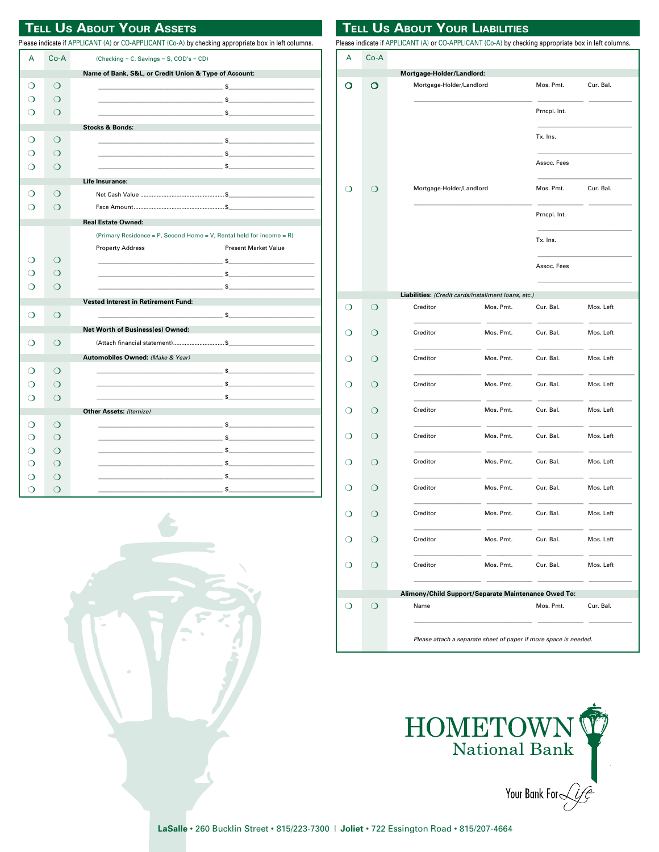### **TELL US ABOUT YOUR ASSETS**

Please indicate if APPLICANT (A) or CO-APPLICANT (Co-A) by checking appropriate box in left columns.

| А                                                     | Co-A                                                              | (Checking = $C$ , Savings = $S$ , COD's = CD)                                                                                                                                                                                                                                                                                                                                      |  |  |  |  |
|-------------------------------------------------------|-------------------------------------------------------------------|------------------------------------------------------------------------------------------------------------------------------------------------------------------------------------------------------------------------------------------------------------------------------------------------------------------------------------------------------------------------------------|--|--|--|--|
| Name of Bank, S&L, or Credit Union & Type of Account: |                                                                   |                                                                                                                                                                                                                                                                                                                                                                                    |  |  |  |  |
| ∩                                                     | ◯                                                                 |                                                                                                                                                                                                                                                                                                                                                                                    |  |  |  |  |
| ∩                                                     | ∩                                                                 | $\sim$ $\sim$ $\sim$                                                                                                                                                                                                                                                                                                                                                               |  |  |  |  |
| ∩                                                     | ∩                                                                 | $\sim$ $\sim$                                                                                                                                                                                                                                                                                                                                                                      |  |  |  |  |
|                                                       |                                                                   | <b>Stocks &amp; Bonds:</b>                                                                                                                                                                                                                                                                                                                                                         |  |  |  |  |
| ∩                                                     | $\circ$                                                           | $\sim$ $\sim$                                                                                                                                                                                                                                                                                                                                                                      |  |  |  |  |
| ∩                                                     | ∩                                                                 |                                                                                                                                                                                                                                                                                                                                                                                    |  |  |  |  |
|                                                       | ∩                                                                 |                                                                                                                                                                                                                                                                                                                                                                                    |  |  |  |  |
|                                                       | <b>Life Insurance:</b> And the Communication of the Communication |                                                                                                                                                                                                                                                                                                                                                                                    |  |  |  |  |
| ∩                                                     | ∩                                                                 |                                                                                                                                                                                                                                                                                                                                                                                    |  |  |  |  |
|                                                       | ∩                                                                 |                                                                                                                                                                                                                                                                                                                                                                                    |  |  |  |  |
|                                                       |                                                                   | <b>Real Estate Owned:</b>                                                                                                                                                                                                                                                                                                                                                          |  |  |  |  |
|                                                       |                                                                   | (Primary Residence = P, Second Home = V, Rental held for income = R)                                                                                                                                                                                                                                                                                                               |  |  |  |  |
|                                                       |                                                                   | <b>Present Market Value</b><br><b>Property Address</b>                                                                                                                                                                                                                                                                                                                             |  |  |  |  |
| ⊖                                                     | ◯                                                                 |                                                                                                                                                                                                                                                                                                                                                                                    |  |  |  |  |
| ∩                                                     | ∩                                                                 |                                                                                                                                                                                                                                                                                                                                                                                    |  |  |  |  |
| ∩                                                     | ∩                                                                 |                                                                                                                                                                                                                                                                                                                                                                                    |  |  |  |  |
|                                                       |                                                                   | <b>Vested Interest in Retirement Fund:</b>                                                                                                                                                                                                                                                                                                                                         |  |  |  |  |
| ∩                                                     | ◯                                                                 |                                                                                                                                                                                                                                                                                                                                                                                    |  |  |  |  |
|                                                       |                                                                   | Net Worth of Business(es) Owned:                                                                                                                                                                                                                                                                                                                                                   |  |  |  |  |
| ∩                                                     | ◯                                                                 | (Attach financial statement) \$                                                                                                                                                                                                                                                                                                                                                    |  |  |  |  |
|                                                       |                                                                   | Automobiles Owned: (Make & Year)                                                                                                                                                                                                                                                                                                                                                   |  |  |  |  |
| ∩                                                     | ◯                                                                 |                                                                                                                                                                                                                                                                                                                                                                                    |  |  |  |  |
| ∩                                                     | ◯                                                                 |                                                                                                                                                                                                                                                                                                                                                                                    |  |  |  |  |
| ∩                                                     | ∩                                                                 |                                                                                                                                                                                                                                                                                                                                                                                    |  |  |  |  |
|                                                       |                                                                   | Other Assets: (Itemize)                                                                                                                                                                                                                                                                                                                                                            |  |  |  |  |
| ∩                                                     | ∩                                                                 |                                                                                                                                                                                                                                                                                                                                                                                    |  |  |  |  |
| ∩                                                     | ◯                                                                 | $\mathbb{S}$                                                                                                                                                                                                                                                                                                                                                                       |  |  |  |  |
| ∩                                                     | ∩                                                                 |                                                                                                                                                                                                                                                                                                                                                                                    |  |  |  |  |
| ∩                                                     | $\Omega$                                                          |                                                                                                                                                                                                                                                                                                                                                                                    |  |  |  |  |
| ∩                                                     | ∩                                                                 |                                                                                                                                                                                                                                                                                                                                                                                    |  |  |  |  |
|                                                       | ⌒                                                                 | $\epsilon$ and $\epsilon$ and $\epsilon$ and $\epsilon$ and $\epsilon$ and $\epsilon$ and $\epsilon$ and $\epsilon$ and $\epsilon$ and $\epsilon$ and $\epsilon$ and $\epsilon$ and $\epsilon$ and $\epsilon$ and $\epsilon$ and $\epsilon$ and $\epsilon$ and $\epsilon$ and $\epsilon$ and $\epsilon$ and $\epsilon$ and $\epsilon$ and $\epsilon$ and $\epsilon$ and $\epsilon$ |  |  |  |  |

|         |          | Please indicate if APPLICANT (A) or CO-APPLICANT (Co-A) by checking appropriate box in left columns. | <b>I ELL US ABOUT YOUR LIABILITIES</b> |                     |           |
|---------|----------|------------------------------------------------------------------------------------------------------|----------------------------------------|---------------------|-----------|
| А       | $Co-A$   |                                                                                                      |                                        |                     |           |
|         |          | Mortgage-Holder/Landlord:                                                                            |                                        |                     |           |
| О       | O        | Mortgage-Holder/Landlord                                                                             |                                        | Mos. Pmt.           | Cur. Bal. |
|         |          |                                                                                                      |                                        |                     |           |
|         |          |                                                                                                      |                                        | Prncpl. Int.        |           |
|         |          |                                                                                                      |                                        | Tx. Ins.            |           |
|         |          |                                                                                                      |                                        | Assoc. Fees         |           |
|         | $\circ$  | Mortgage-Holder/Landlord                                                                             |                                        | Mos. Pmt.           | Cur. Bal. |
|         |          |                                                                                                      |                                        |                     |           |
|         |          |                                                                                                      |                                        | Prncpl. Int.        |           |
|         |          |                                                                                                      |                                        | Tx. Ins.            |           |
|         |          |                                                                                                      |                                        | Assoc. Fees         |           |
|         |          | Liabilities: (Credit cards/installment loans, etc.)                                                  |                                        |                     |           |
| O       | O        | Creditor                                                                                             | Mos. Pmt.                              | Cur. Bal.           | Mos. Left |
| ◯       | ◯        | Creditor                                                                                             | Mos. Pmt.                              | Cur. Bal.           | Mos. Left |
| ◯       | ◯        | Creditor                                                                                             | Mos. Pmt.                              | Cur. Bal.           | Mos. Left |
| ◯       | ◯        | Creditor                                                                                             | Mos. Pmt.                              | Cur. Bal.           | Mos. Left |
| ◯       | ◯        | Creditor                                                                                             | Mos. Pmt.                              | Cur. Bal.           | Mos. Left |
| ◯       | ◯        | Creditor                                                                                             | Mos. Pmt.                              | Cur. Bal.           | Mos. Left |
| ◯       | $\Omega$ | Creditor                                                                                             | Mos. Pmt.                              | Cur. Bal.           | Mos. Left |
| ◯       | ∩        | Creditor                                                                                             | Mos. Pmt.                              | Cur. Bal.           | Mos. Left |
| $\circ$ | $\circ$  | Creditor                                                                                             | Mos. Pmt.                              | Cur. Bal.           | Mos. Left |
| O       | $\circ$  | Creditor                                                                                             |                                        | Mos. Pmt. Cur. Bal. | Mos. Left |
| $\circ$ | $\circ$  | Creditor                                                                                             |                                        | Mos. Pmt. Cur. Bal. | Mos. Left |
|         |          |                                                                                                      |                                        |                     |           |
|         |          | Alimony/Child Support/Separate Maintenance Owed To:                                                  |                                        |                     |           |
| $\circ$ | $\circ$  | Name                                                                                                 |                                        | Mos. Pmt.           | Cur. Bal. |